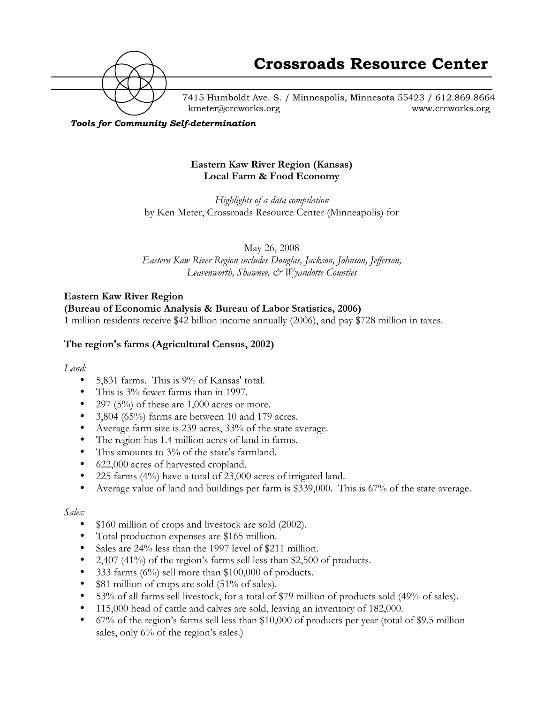

7415 Humboldt Ave. S. / Minneapolis, Minnesota 55423 / 612.869.8664 kmeter@crcworks.org www.crcworks.org

#### *Tools for Community Self-determination*

#### **Eastern Kaw River Region (Kansas) Local Farm & Food Economy**

*Highlights of a data compilation* by Ken Meter, Crossroads Resource Center (Minneapolis) for

May 26, 2008

*Eastern Kaw River Region includes Douglas, Jackson, Johnson, Jefferson, Leavenworth, Shawnee, & Wyandotte Counties*

## **Eastern Kaw River Region**

# **(Bureau of Economic Analysis & Bureau of Labor Statistics, 2006)**

1 million residents receive \$42 billion income annually (2006), and pay \$728 million in taxes.

## **The region's farms (Agricultural Census, 2002)**

#### *Land:*

- 5,831 farms. This is 9% of Kansas' total.
- This is 3% fewer farms than in 1997.
- 297 (5%) of these are  $1,000$  acres or more.
- 3,804 (65%) farms are between 10 and 179 acres.
- Average farm size is 239 acres, 33% of the state average.
- The region has 1.4 million acres of land in farms.
- This amounts to 3% of the state's farmland.
- 622,000 acres of harvested cropland.
- 225 farms (4%) have a total of 23,000 acres of irrigated land.
- Average value of land and buildings per farm is \$339,000. This is 67% of the state average.

#### *Sales:*

- \$160 million of crops and livestock are sold (2002).
- Total production expenses are \$165 million.
- Sales are 24% less than the 1997 level of \$211 million.
- 2,407 (41%) of the region's farms sell less than \$2,500 of products.
- 333 farms  $(6\%)$  sell more than \$100,000 of products.
- \$81 million of crops are sold (51% of sales).
- 53% of all farms sell livestock, for a total of \$79 million of products sold (49% of sales).
- 115,000 head of cattle and calves are sold, leaving an inventory of 182,000.
- 67% of the region's farms sell less than \$10,000 of products per year (total of \$9.5 million sales, only 6% of the region's sales.)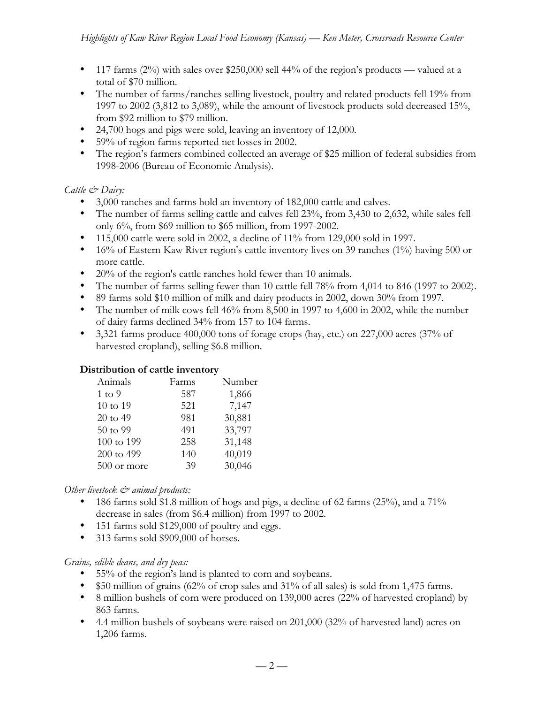- 117 farms  $(2\%)$  with sales over \$250,000 sell 44% of the region's products valued at a total of \$70 million.
- The number of farms/ranches selling livestock, poultry and related products fell 19% from 1997 to 2002 (3,812 to 3,089), while the amount of livestock products sold decreased 15%, from \$92 million to \$79 million.
- 24,700 hogs and pigs were sold, leaving an inventory of 12,000.
- 59% of region farms reported net losses in 2002.
- The region's farmers combined collected an average of \$25 million of federal subsidies from 1998-2006 (Bureau of Economic Analysis).

# *Cattle & Dairy:*

- 3,000 ranches and farms hold an inventory of 182,000 cattle and calves.
- The number of farms selling cattle and calves fell 23%, from 3,430 to 2,632, while sales fell only 6%, from \$69 million to \$65 million, from 1997-2002.
- 115,000 cattle were sold in 2002, a decline of 11% from 129,000 sold in 1997.
- 16% of Eastern Kaw River region's cattle inventory lives on 39 ranches (1%) having 500 or more cattle.
- 20% of the region's cattle ranches hold fewer than 10 animals.
- The number of farms selling fewer than 10 cattle fell 78% from 4,014 to 846 (1997 to 2002).
- 89 farms sold \$10 million of milk and dairy products in 2002, down 30% from 1997.
- The number of milk cows fell 46% from 8,500 in 1997 to 4,600 in 2002, while the number of dairy farms declined 34% from 157 to 104 farms.
- 3,321 farms produce  $400,000$  tons of forage crops (hay, etc.) on 227,000 acres (37% of harvested cropland), selling \$6.8 million.

# **Distribution of cattle inventory**

| Animals           | Farms | Number |
|-------------------|-------|--------|
| $1 \text{ to } 9$ | 587   | 1,866  |
| 10 to 19          | 521   | 7,147  |
| 20 to 49          | 981   | 30,881 |
| 50 to 99          | 491   | 33,797 |
| 100 to 199        | 258   | 31,148 |
| 200 to 499        | 140   | 40,019 |
| 500 or more       | 39    | 30,046 |

# *Other livestock & animal products:*

- 186 farms sold \$1.8 million of hogs and pigs, a decline of 62 farms  $(25\%)$ , and a 71% decrease in sales (from \$6.4 million) from 1997 to 2002.
- 151 farms sold \$129,000 of poultry and eggs.
- 313 farms sold \$909,000 of horses.

# *Grains, edible deans, and dry peas:*

- 55% of the region's land is planted to corn and soybeans.
- \$50 million of grains (62% of crop sales and 31% of all sales) is sold from 1,475 farms.
- 8 million bushels of corn were produced on 139,000 acres (22% of harvested cropland) by 863 farms.
- 4.4 million bushels of soybeans were raised on 201,000 (32% of harvested land) acres on 1,206 farms.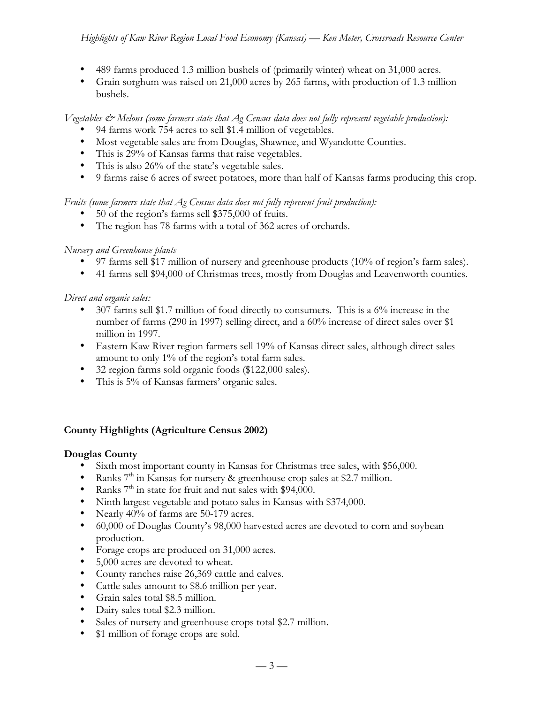- 489 farms produced 1.3 million bushels of (primarily winter) wheat on 31,000 acres.
- Grain sorghum was raised on 21,000 acres by 265 farms, with production of 1.3 million bushels.

## *Vegetables & Melons (some farmers state that Ag Census data does not fully represent vegetable production):*

- 94 farms work 754 acres to sell \$1.4 million of vegetables.
- Most vegetable sales are from Douglas, Shawnee, and Wyandotte Counties.
- This is 29% of Kansas farms that raise vegetables.
- This is also 26% of the state's vegetable sales.
- 9 farms raise 6 acres of sweet potatoes, more than half of Kansas farms producing this crop.

## *Fruits (some farmers state that Ag Census data does not fully represent fruit production):*

- 50 of the region's farms sell \$375,000 of fruits.
- The region has 78 farms with a total of 362 acres of orchards.

## *Nursery and Greenhouse plants*

- 97 farms sell \$17 million of nursery and greenhouse products (10% of region's farm sales).
- 41 farms sell \$94,000 of Christmas trees, mostly from Douglas and Leavenworth counties.

## *Direct and organic sales:*

- 307 farms sell \$1.7 million of food directly to consumers. This is a 6% increase in the number of farms (290 in 1997) selling direct, and a 60% increase of direct sales over \$1 million in 1997.
- Eastern Kaw River region farmers sell 19% of Kansas direct sales, although direct sales amount to only 1% of the region's total farm sales.
- 32 region farms sold organic foods (\$122,000 sales).
- This is 5% of Kansas farmers' organic sales.

# **County Highlights (Agriculture Census 2002)**

## **Douglas County**

- Sixth most important county in Kansas for Christmas tree sales, with \$56,000.
- Ranks  $7<sup>th</sup>$  in Kansas for nursery & greenhouse crop sales at \$2.7 million.
- Ranks  $7<sup>th</sup>$  in state for fruit and nut sales with \$94,000.
- Ninth largest vegetable and potato sales in Kansas with \$374,000.
- Nearly 40% of farms are 50-179 acres.
- 60,000 of Douglas County's 98,000 harvested acres are devoted to corn and soybean production.
- Forage crops are produced on 31,000 acres.
- 5,000 acres are devoted to wheat.
- County ranches raise 26,369 cattle and calves.
- Cattle sales amount to \$8.6 million per year.
- Grain sales total \$8.5 million.
- Dairy sales total \$2.3 million.
- Sales of nursery and greenhouse crops total \$2.7 million.
- \$1 million of forage crops are sold.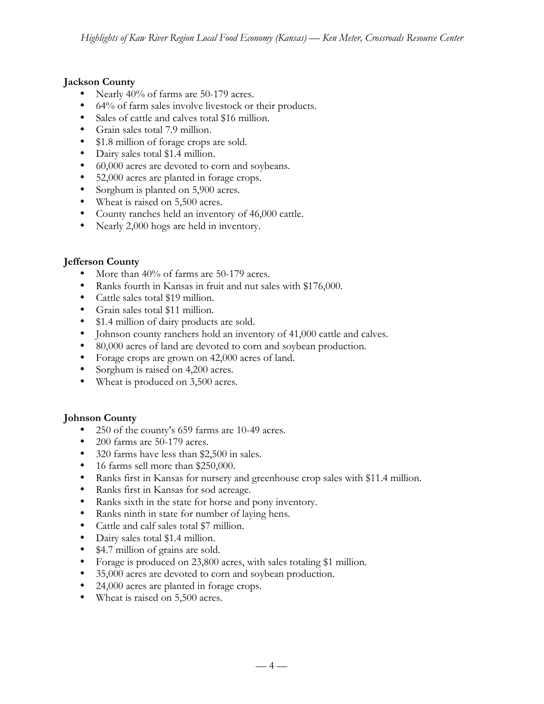# **Jackson County**

- Nearly 40% of farms are 50-179 acres.
- 64% of farm sales involve livestock or their products.
- Sales of cattle and calves total \$16 million.
- Grain sales total 7.9 million.
- \$1.8 million of forage crops are sold.
- Dairy sales total \$1.4 million.
- 60,000 acres are devoted to corn and soybeans.
- 52,000 acres are planted in forage crops.
- Sorghum is planted on 5,900 acres.
- Wheat is raised on 5,500 acres.
- County ranches held an inventory of 46,000 cattle.
- Nearly 2,000 hogs are held in inventory.

# **Jefferson County**

- More than 40% of farms are 50-179 acres.
- Ranks fourth in Kansas in fruit and nut sales with \$176,000.
- Cattle sales total \$19 million.
- Grain sales total \$11 million.
- \$1.4 million of dairy products are sold.
- Johnson county ranchers hold an inventory of 41,000 cattle and calves.
- 80,000 acres of land are devoted to corn and soybean production.
- Forage crops are grown on 42,000 acres of land.
- Sorghum is raised on 4,200 acres.
- Wheat is produced on 3,500 acres.

# **Johnson County**

- 250 of the county's 659 farms are 10-49 acres.
- 200 farms are 50-179 acres.
- 320 farms have less than \$2,500 in sales.
- 16 farms sell more than \$250,000.
- Ranks first in Kansas for nursery and greenhouse crop sales with \$11.4 million.
- Ranks first in Kansas for sod acreage.
- Ranks sixth in the state for horse and pony inventory.
- Ranks ninth in state for number of laying hens.
- Cattle and calf sales total \$7 million.
- Dairy sales total \$1.4 million.
- \$4.7 million of grains are sold.
- Forage is produced on 23,800 acres, with sales totaling \$1 million.
- 35,000 acres are devoted to corn and soybean production.
- 24,000 acres are planted in forage crops.
- Wheat is raised on 5,500 acres.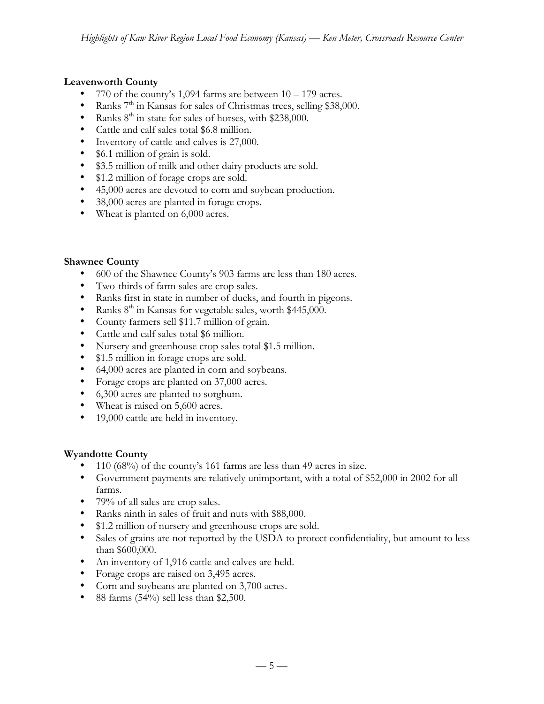## **Leavenworth County**

- 770 of the county's 1,094 farms are between  $10 179$  acres.
- Ranks  $7<sup>th</sup>$  in Kansas for sales of Christmas trees, selling \$38,000.
- Ranks  $8<sup>th</sup>$  in state for sales of horses, with \$238,000.
- Cattle and calf sales total \$6.8 million.
- Inventory of cattle and calves is 27,000.
- \$6.1 million of grain is sold.
- \$3.5 million of milk and other dairy products are sold.
- \$1.2 million of forage crops are sold.
- 45,000 acres are devoted to corn and soybean production.
- 38,000 acres are planted in forage crops.
- Wheat is planted on 6,000 acres.

## **Shawnee County**

- 600 of the Shawnee County's 903 farms are less than 180 acres.
- Two-thirds of farm sales are crop sales.
- Ranks first in state in number of ducks, and fourth in pigeons.
- Ranks  $8<sup>th</sup>$  in Kansas for vegetable sales, worth \$445,000.
- County farmers sell \$11.7 million of grain.
- Cattle and calf sales total \$6 million.
- Nursery and greenhouse crop sales total \$1.5 million.
- \$1.5 million in forage crops are sold.
- 64,000 acres are planted in corn and soybeans.
- Forage crops are planted on 37,000 acres.
- 6,300 acres are planted to sorghum.
- Wheat is raised on 5,600 acres.
- 19,000 cattle are held in inventory.

## **Wyandotte County**

- 110 (68%) of the county's 161 farms are less than 49 acres in size.
- Government payments are relatively unimportant, with a total of \$52,000 in 2002 for all farms.
- 79% of all sales are crop sales.
- Ranks ninth in sales of fruit and nuts with \$88,000.
- \$1.2 million of nursery and greenhouse crops are sold.
- Sales of grains are not reported by the USDA to protect confidentiality, but amount to less than \$600,000.
- An inventory of 1,916 cattle and calves are held.
- Forage crops are raised on 3,495 acres.
- Corn and soybeans are planted on 3,700 acres.
- 88 farms  $(54\%)$  sell less than \$2,500.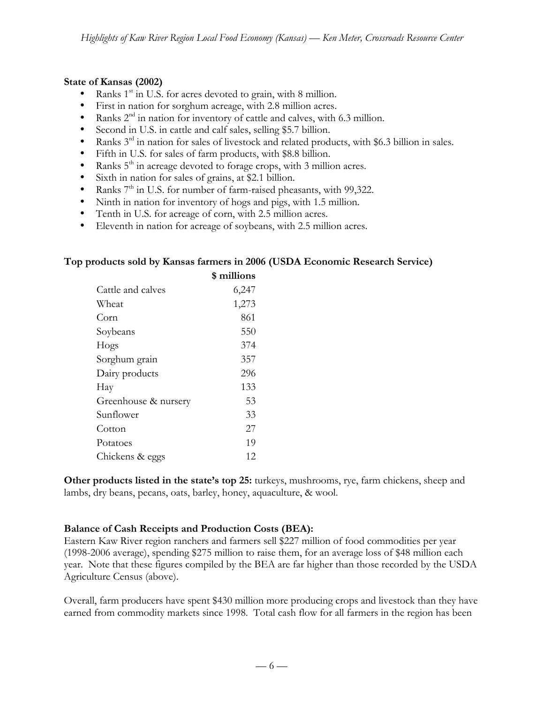#### **State of Kansas (2002)**

- Ranks  $1<sup>st</sup>$  in U.S. for acres devoted to grain, with 8 million.
- First in nation for sorghum acreage, with 2.8 million acres.
- Ranks  $2<sup>nd</sup>$  in nation for inventory of cattle and calves, with 6.3 million.
- Second in U.S. in cattle and calf sales, selling \$5.7 billion.
- Ranks  $3<sup>rd</sup>$  in nation for sales of livestock and related products, with \$6.3 billion in sales.
- Fifth in U.S. for sales of farm products, with \$8.8 billion.
- Ranks  $5<sup>th</sup>$  in acreage devoted to forage crops, with 3 million acres.
- Sixth in nation for sales of grains, at \$2.1 billion.
- Ranks  $7<sup>th</sup>$  in U.S. for number of farm-raised pheasants, with 99,322.
- Ninth in nation for inventory of hogs and pigs, with 1.5 million.
- Tenth in U.S. for acreage of corn, with 2.5 million acres.
- Eleventh in nation for acreage of soybeans, with 2.5 million acres.

#### **Top products sold by Kansas farmers in 2006 (USDA Economic Research Service)**

|                      | \$ millions |
|----------------------|-------------|
| Cattle and calves    | 6,247       |
| Wheat                | 1,273       |
| Corn                 | 861         |
| Soybeans             | 550         |
| Hogs                 | 374         |
| Sorghum grain        | 357         |
| Dairy products       | 296         |
| Hay                  | 133         |
| Greenhouse & nursery | 53          |
| Sunflower            | 33          |
| Cotton               | 27          |
| Potatoes             | 19          |
| Chickens & eggs      | 12          |
|                      |             |

**Other products listed in the state's top 25:** turkeys, mushrooms, rye, farm chickens, sheep and lambs, dry beans, pecans, oats, barley, honey, aquaculture, & wool.

#### **Balance of Cash Receipts and Production Costs (BEA):**

Eastern Kaw River region ranchers and farmers sell \$227 million of food commodities per year (1998-2006 average), spending \$275 million to raise them, for an average loss of \$48 million each year. Note that these figures compiled by the BEA are far higher than those recorded by the USDA Agriculture Census (above).

Overall, farm producers have spent \$430 million more producing crops and livestock than they have earned from commodity markets since 1998. Total cash flow for all farmers in the region has been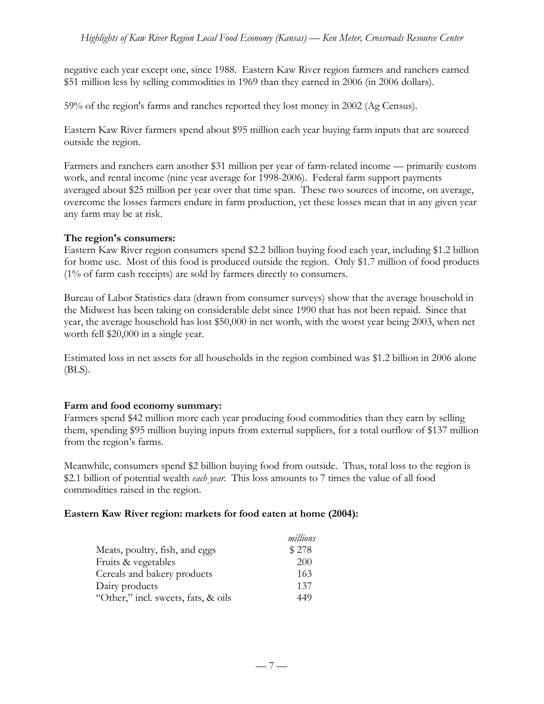negative each year except one, since 1988. Eastern Kaw River region farmers and ranchers earned \$51 million less by selling commodities in 1969 than they earned in 2006 (in 2006 dollars).

59% of the region's farms and ranches reported they lost money in 2002 (Ag Census).

Eastern Kaw River farmers spend about \$95 million each year buying farm inputs that are sourced outside the region.

Farmers and ranchers earn another \$31 million per year of farm-related income — primarily custom work, and rental income (nine year average for 1998-2006). Federal farm support payments averaged about \$25 million per year over that time span. These two sources of income, on average, overcome the losses farmers endure in farm production, yet these losses mean that in any given year any farm may be at risk.

#### **The region's consumers:**

Eastern Kaw River region consumers spend \$2.2 billion buying food each year, including \$1.2 billion for home use. Most of this food is produced outside the region. Only \$1.7 million of food products (1% of farm cash receipts) are sold by farmers directly to consumers.

Bureau of Labor Statistics data (drawn from consumer surveys) show that the average household in the Midwest has been taking on considerable debt since 1990 that has not been repaid. Since that year, the average household has lost \$50,000 in net worth, with the worst year being 2003, when net worth fell \$20,000 in a single year.

Estimated loss in net assets for all households in the region combined was \$1.2 billion in 2006 alone (BLS).

## **Farm and food economy summary:**

Farmers spend \$42 million more each year producing food commodities than they earn by selling them, spending \$95 million buying inputs from external suppliers, for a total outflow of \$137 million from the region's farms.

Meanwhile, consumers spend \$2 billion buying food from outside. Thus, total loss to the region is \$2.1 billion of potential wealth *each year*. This loss amounts to 7 times the value of all food commodities raised in the region.

#### **Eastern Kaw River region: markets for food eaten at home (2004):**

|                                     | millions |
|-------------------------------------|----------|
| Meats, poultry, fish, and eggs      | \$278    |
| Fruits & vegetables                 | 200      |
| Cereals and bakery products         | 163      |
| Dairy products                      | 137      |
| "Other," incl. sweets, fats, & oils | 449      |